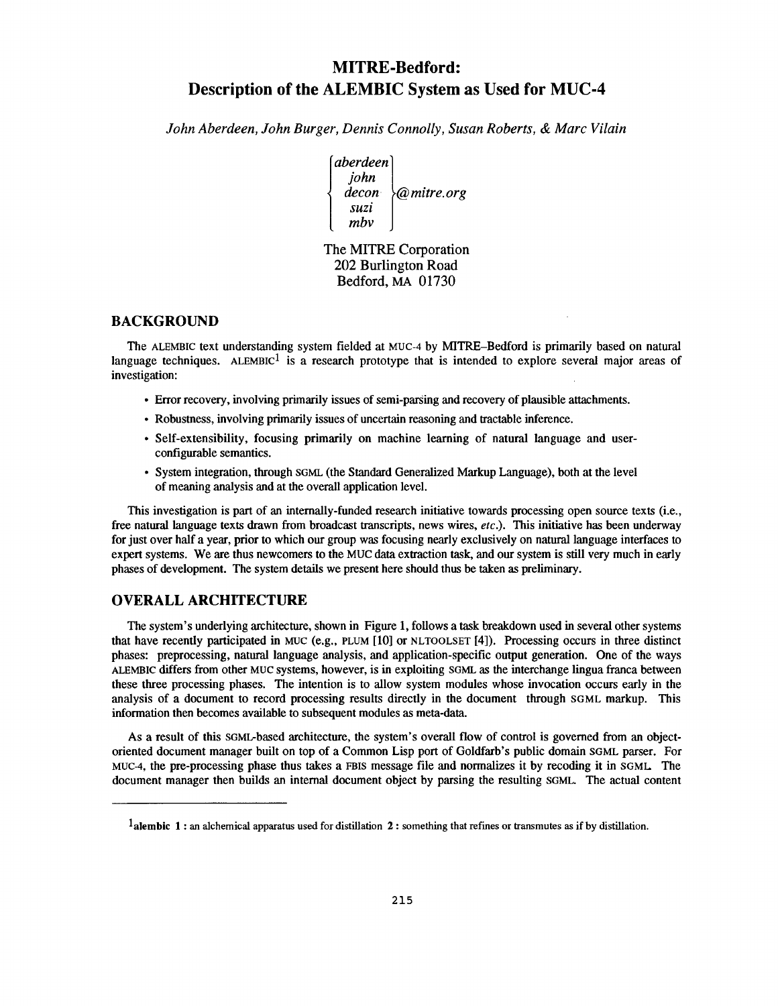# **MITRE-Bedford : Description of the ALEMBIC System as Used for MUC- 4**

*John Aberdeen, John Burger, Dennis Connolly, Susan Roberts, & Marc Vilai n*

[aberdeen] *john decon @mitre.org suzi mbv*

The MITRE Corporation 202 Burlington Road Bedford, MA 01730

# **BACKGROUND**

The ALEMBIC text understanding system fielded at MUC-4 by MITRE–Bedford is primarily based on natural language techniques. ALEMBIC<sup>1</sup> is a research prototype that is intended to explore several major areas of investigation:

- Error recovery, involving primarily issues of semi-parsing and recovery of plausible attachments .
- Robustness, involving primarily issues of uncertain reasoning and tractable inference .
- Self-extensibility, focusing primarily on machine learning of natural language and user configurable semantics.
- System integration, through SGML (the Standard Generalized Markup Language), both at the level of meaning analysis and at the overall application level .

This investigation is part of an internally-funded research initiative towards processing open source texts (i.e., free natural language texts drawn from broadcast transcripts, news wires, etc.). This initiative has been underway for just over half a year, prior to which our group was focusing nearly exclusively on natural language interfaces to expert systems. We are thus newcomers to the MUC data extraction task, and our system is still very much in early phases of development. The system details we present here should thus be taken as preliminary.

# **OVERALL ARCHITECTUR E**

The system's underlying architecture, shown in Figure 1, follows a task breakdown used in several other systems that have recently participated in MUC (e.g., PLUM  $[10]$  or NLTOOLSET  $[4]$ ). Processing occurs in three distinct phases: preprocessing, natural language analysis, and application-specific output generation. One of the ways ALEMBIC differs from other MUC systems, however, is in exploiting SGML as the interchange lingua franca between these three processing phases. The intention is to allow system modules whose invocation occurs early in the analysis of a document to record processing results directly in the document through SGML markup. This information then becomes available to subsequent modules as meta-data.

As a result of this SGML-based architecture, the system's overall flow of control is governed from an objectoriented document manager built on top of a Common Lisp port of Goldfarb's public domain SGML parser . For MUC-4, the pre-processing phase thus takes a FBIS message file and normalizes it by recoding it in SGML The document manager then builds an internal document object by parsing the resulting SGML. The actual content

<sup>&</sup>lt;sup>1</sup> alembic 1 : an alchemical apparatus used for distillation 2 : something that refines or transmutes as if by distillation.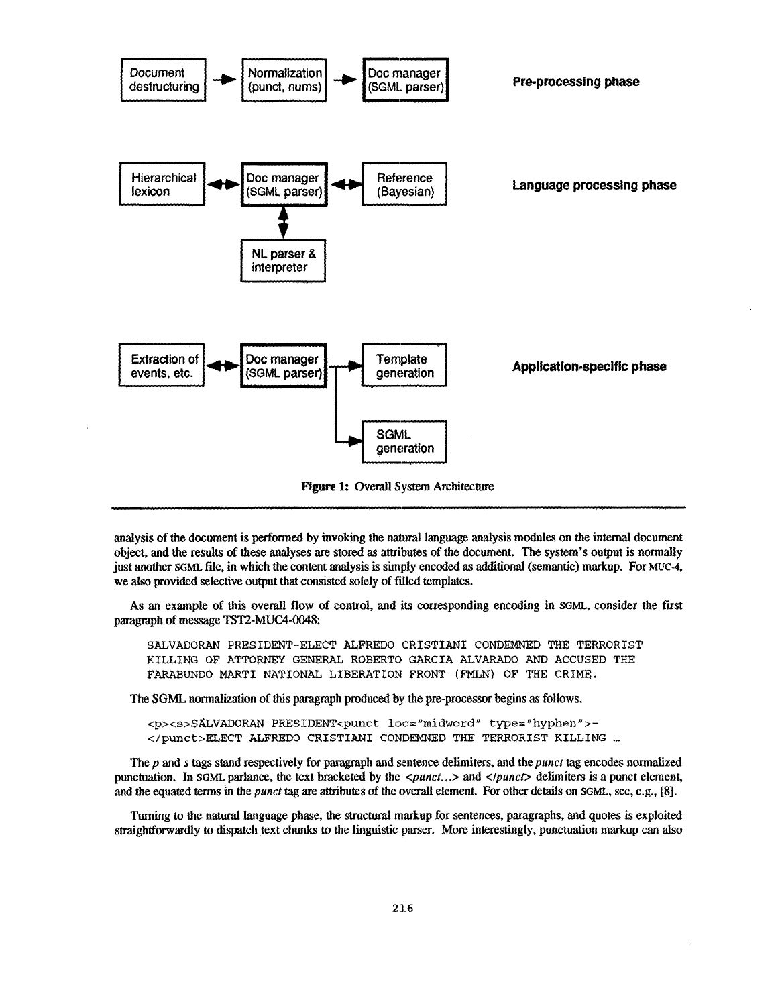

analysis of the document is performed by invoking the natural language analysis modules on the internal document object, and the results of these analyses are stored as attributes of the document. The system's output is normally just another SGML file, in which the content analysis is simply encoded as additional (semantic) markup. For MUC-4, we also provided selective output that consisted solely of filled templates.

As an example of this overall flow of control, and its corresponding encoding in SGML, consider the *first* paragraph of message TST2-MUC4-0048:

SALVADORAN PRESIDENT-ELECT ALFREDO CRISTIANI CONDEMNED THE TERRORIST KILLING OF ATTORNEY GENERAL ROBERTO GARCIA ALVARADO AND ACCUSED THE FARABUNDO MARTI NATIONAL LIBERATION FRONT (FMLN) OF THE CRIME ,

The SGML normalization of this paragraph produced by the pre-processor begins as follows.

<p><s>SALVADORAN PRESIDENT<punct 1oc="midword" type="hyphen"> - </punct>ELECT ALFREDO CRISTIANI CONDEMNED THE TERRORIST KILLING . . .

The p and s tags stand respectively for paragraph and sentence delimiters, and the punct tag encodes normalized punctuation. In SGML parlance, the text bracketed by the <punct...> and </punct> delimiters is a punct element, and the equated terms in the *punct* tag are attributes of the overall element . For other details on SGML, see, e.g., [8].

Turning to the natural language phase, the structural markup for sentences, paragraphs, and quotes is exploited straightforwardly to dispatch text chunks to the linguistic parser . More interestingly, punctuation markup can also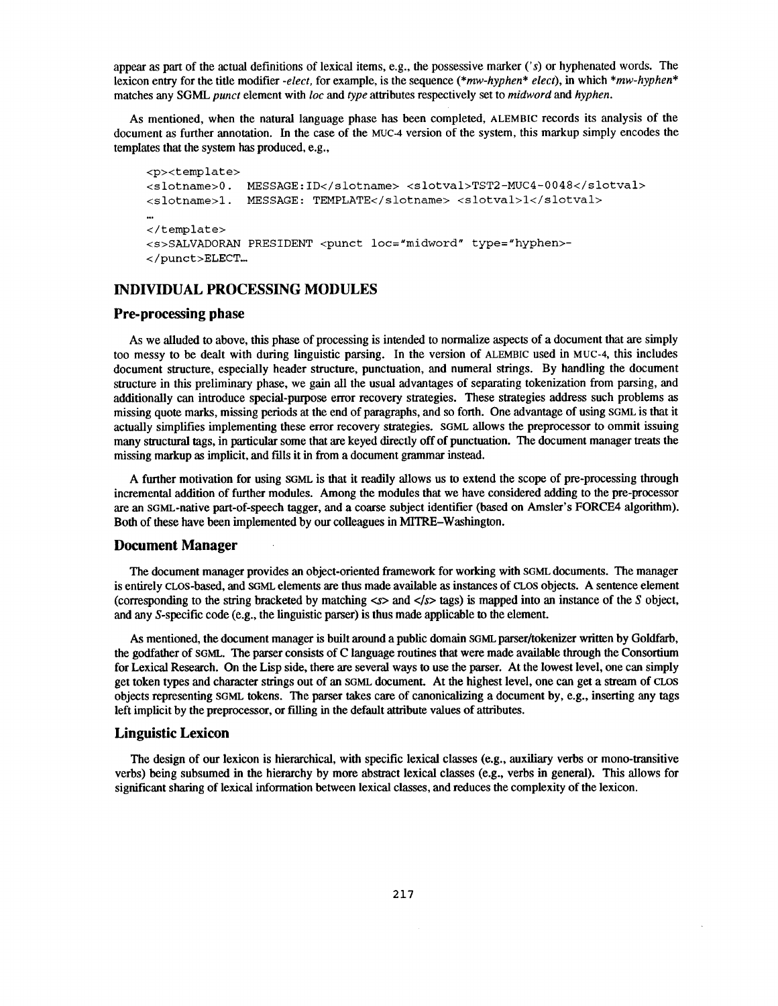appear as part of the actual definitions of lexical items, e.g., the possessive marker ('s) or hyphenated words. The lexicon entry for the title modifier *-elect,* for example, is the sequence *(\*mw-hyphen\* elect),* in which *\*mw-hyphen \** matches any SGML *punct* element with loc and *type* attributes respectively set to *midword* and *hyphen .*

As mentioned, when the natural language phase has been completed, ALEMBIC records its analysis of the document as further annotation. In the case of the MUC-4 version of the system, this markup simply encodes the templates that the system has produced, e.g.,

```
<p><template>
<slotname>0. MESSAGE:ID</slotname> <slotval>TST2-MUC4-0048</slotval>
<slotname>1. MESSAGE: TEMPLATE</slotname> <slotval>1</slotval>
</template>
<s>SALVADORAN PRESIDENT <punct loc="midword" type="hyphen>-
</punct>ELECT...
```
# **INDIVIDUAL PROCESSING MODULES**

# **Pre-processing phase**

As we alluded to above, this phase of processing is intended to normalize aspects of a document that are simply too messy to be dealt with during linguistic parsing. In the version of ALEMBIC used in MUC-4, this includes document structure, especially header structure, punctuation, and numeral strings. By handling the document structure in this preliminary phase, we gain all the usual advantages of separating tokenization from parsing, and additionally can introduce special-purpose error recovery strategies . These strategies address such problems as missing quote marks, missing periods at the end of paragraphs, and so forth. One advantage of using SGML is that it actually simplifies implementing these error recovery strategies. SGML allows the preprocessor to ommit issuing many structural tags, in particular some that are keyed directly off of punctuation. The document manager treats the missing markup as implicit, and fills it in from a document grammar instead .

A further motivation for using SGML is that it readily allows us to extend the scope of pre-processing through incremental addition of further modules. Among the modules that we have considered adding to the pre-processor are an sGML-native part-of-speech tagger, and a coarse subject identifier (based on Amsler's FORCE4 algorithm) . Both of these have been implemented by our colleagues in MITRE-Washington.

#### **Document Manager**

The document manager provides an object-oriented framework for working with SGML documents. The manager is entirely cLOS-based, and SGML elements are thus made available as instances of cLOS objects . A sentence element (corresponding to the string bracketed by matching *<s>* and *</s>* tags) is mapped into an instance of the S object, and any S-specific code (e.g., the linguistic parser) is thus made applicable to the element.

As mentioned, the document manager is built around a public domain SGML parser/tokenizer written by Goldfarb, the godfather of SGML. The parser consists of C language routines that were made available through the Consortium for Lexical Research. On the Lisp side, there are several ways to use the parser. At the lowest level, one can simply get token types and character strings out of an SGML document. At the highest level, one can get a stream of CLOS objects representing SGML tokens. The parser takes care of canonicalizing a document by, e .g., inserting any tags left implicit by the preprocessor, or filling in the default attribute values of attributes.

# **Linguistic Lexicon**

The design of our lexicon is hierarchical, with specific lexical classes (e .g ., auxiliary verbs or mono-transitive verbs) being subsumed in the hierarchy by more abstract lexical classes (e.g., verbs in general). This allows for significant sharing of lexical information between lexical classes, and reduces the complexity of the lexicon.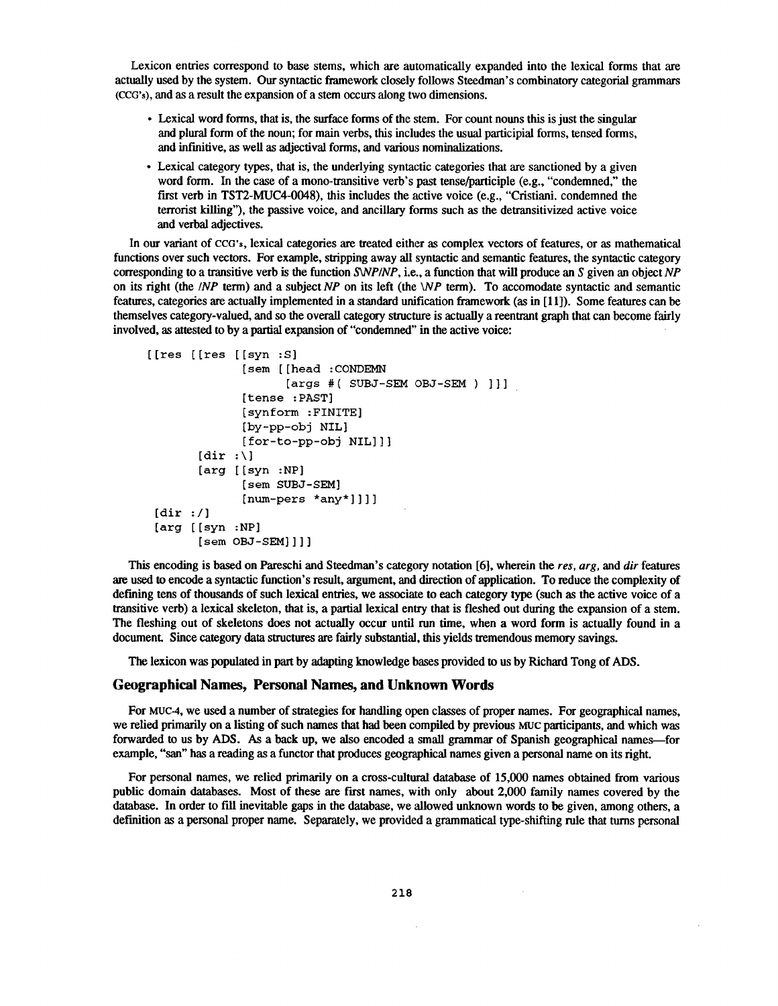Lexicon entries correspond to base stems, which are automatically expanded into the lexical forms that are actually used by the system. Our syntactic framework closely follows Steedman's combinatory categorial grammars (CCG's), and as a result the expansion of a stem occurs along two dimensions.

- Lexical word forms, that is, the surface forms of the stem. For count nouns this is just the singular and plural form of the noun; for main verbs, this includes the usual participial forms, tensed forms , and infinitive, as well as adjectival forms, and various nominalizations .
- Lexical category types, that is, the underlying syntactic categories that are sanctioned by a given word form. In the case of a mono-transitive verb's past tense/participle (e.g., "condemned," the first verb in TST2-MUC4-0048), this includes the active voice  $(e.g., "Cristiani.$  condemned the terrorist killing"), the passive voice, and ancillary forms such as the detransitivized active voice and verbal adjectives.

In our variant of CCG's, lexical categories are treated either as complex vectors of features, or as mathematical functions over such vectors. For example, stripping away all syntactic and semantic features, the syntactic category corresponding to a transitive verb is the function *SWP/NP*, i.e., a function that will produce an *S* given an object NP on its right (the */NP* term) and a subject NP on its left (the  $\forall NP$  term). To accomodate syntactic and semantic features, categories are actually implemented in a standard unification framework (as in [11]). Some features can be themselves category-valued, and so the overall category structure is actually a reentrant graph that can become fairly involved, as attested to by a partial expansion of "condemned" in the active voice :

```
[[res [[res [[syn :S ]
              [sem [[head :CONDEMN
                    [args #( SUBJ-SEM OBJ-SEM ) ]] ]
              [tense :PAST]
              [synform :FINITE]
              [by-pp-obj NIL ]
              [for-to-pp-obj NIL]] ]
       [dir : \lceil[arg [sym :NP][sem SUBJ-SEM]
              [num-pers *any*]]] ]
 [dir : /][arg [[syn :NP]
       [sem OBJ-SEM]]] ]
```
This encoding is based on Pareschi and Steedman's category notation [6], wherein the res, arg, and dir features are used to encode a syntactic function's result, argument, and direction of application . To reduce the complexity of defining tens of thousands of such lexical entries, we associate to each category type (such as the active voice of a transitive verb) a lexical skeleton, that is, a partial lexical entry that is fleshed out during the expansion of a stem . The fleshing out of skeletons does not actually occur until run time, when a word form is actually found in a document. Since category data structures are fairly substantial, this yields tremendous memory savings.

The lexicon was populated in part by adapting knowledge bases provided to us by Richard Tong of ADS .

## Geographical Names, Personal Names, and Unknown Words

For Muc4, we used a number of strategies for handling open classes of proper names. For geographical names, we relied primarily on a listing of such names that had been compiled by **previous MUC** participants, and which was forwarded to us by ADS . As a back up, we also encoded a small grammar of Spanish geographical names—for example, "san" has a reading as a functor that produces geographical names given a personal name on its right.

For personal names, we relied primarily on a cross-cultural database of 15,000 names obtained from various public domain databases. Most of these are first names, with only about 2,000 family names covered by the database. In order to fill inevitable gaps in the database, we allowed unknown words to be given, among others, a definition as a personal proper name. Separately, we provided a grammatical type-shifting rule that turns personal

 $\sim$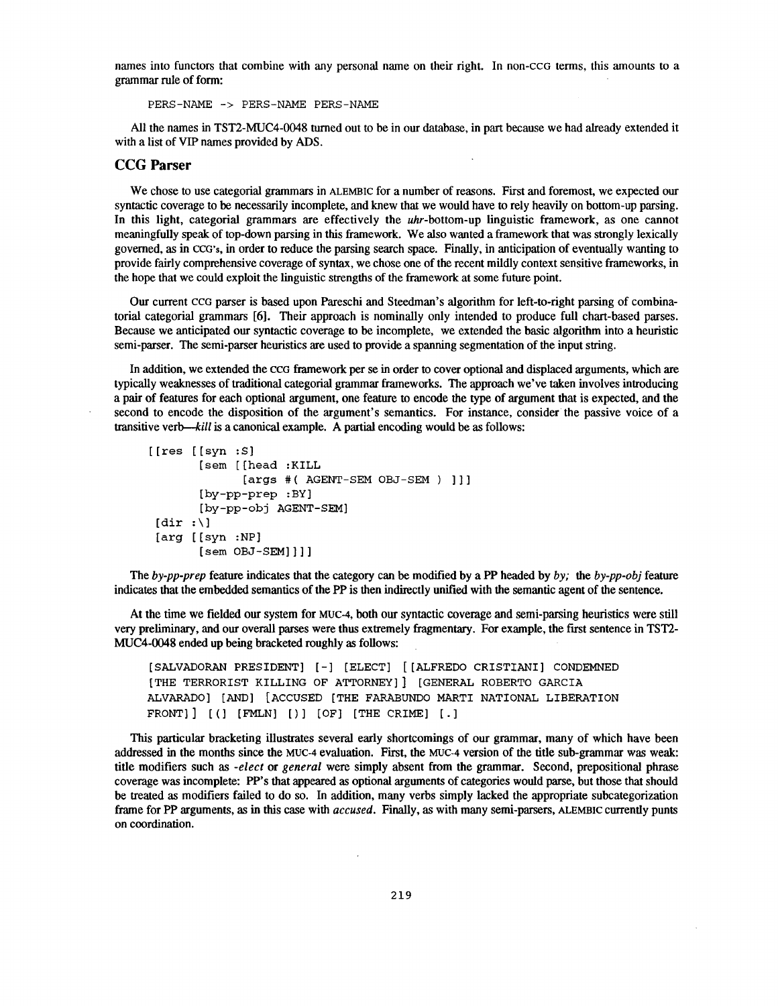names into functors that combine with any personal name on their right. In non-ccG terms, this amounts to a grammar rule of form :

PERS-NAME -> PERS-NAME PERS-NAME

All the names in TST2-MUC4-0048 turned out to be in our database, in part because we had already extended it with a list of VIP names provided by ADS.

#### CCG Parser

We chose to use categorial grammars in ALEMBIC for a number of reasons. First and foremost, we expected our syntactic coverage to be necessarily incomplete, and knew that we would have to rely heavily on bottom-up parsing. In this light, categorial grammars are effectively the uhr-bottom-up linguistic framework, as one cannot meaningfully speak of top-down parsing in this framework. We also wanted a framework that was strongly lexically governed, as in CCG's, in order to reduce the parsing search space. Finally, in anticipation of eventually wanting to provide fairly comprehensive coverage of syntax, we chose one of the recent mildly context sensitive frameworks, in the hope that we could exploit the linguistic strengths of the framework at some future point.

Our current ccG parser is based upon Pareschi and Steedman's algorithm for left-to-right parsing of combinatorial categorial grammars [6]. Their approach is nominally only intended to produce full chart-based parses. Because we anticipated our syntactic coverage to be incomplete, we extended the basic algorithm into a heuristic semi-parser. The semi-parser heuristics are used to provide a spanning segmentation of the input string.

In addition, we extended the CCG framework per se in order to cover optional and displaced arguments, which are typically weaknesses of traditional categorial grammar frameworks. The approach we've taken involves introducing a pair of features for each optional argument, one feature to encode the type of argument that is expected, and the second to encode the disposition of the argument's semantics. For instance, consider the passive voice of a transitive verb—kill is a canonical example. A partial encoding would be as follows:

```
[ [res [ [syn : S]
       [sem [(head :KILL
              [args #( AGENT-SEM OBJ-SEM ) ]] ]
       [by-pp-prep :BY ]
       [by-pp-obj AGENT-SEM ]
 [dir : \][arg [[syn :NP]
       [sem OBJ-SEM]]] ]
```
The *by-pp-prep* feature indicates that the category can be modified by a PP headed by *by;* the *by-pp-obj* feature indicates that the embedded semantics of the PP is then indirectly unified with the semantic agent of the sentence .

At the time we fielded our system for MUC-4, both our syntactic coverage and semi-parsing heuristics were still very preliminary, and our overall parses were thus extremely fragmentary . For example, the first sentence in TST2- MUC4-0048 ended **up** being **bracketed roughly** as follows:

[SALVADORAN PRESIDENT] [-] [ELECT] [[ALFREDO CRISTIANI] CONDEMNE D [THE TERRORIST KILLING OF ATTORNEY]] [GENERAL ROBERTO GARCIA ALVARADO] [AND] [ACCUSED [THE FARABUNDO MARTI NATIONAL LIBERATION FRONT]  $]$   $[$   $]$   $[$   $[$   $]$   $[$   $[$   $]$   $[$   $]$   $[$   $]$   $[$   $]$   $[$   $]$   $[$   $]$   $[$   $]$   $[$   $]$   $[$   $]$   $[$   $]$   $[$   $]$   $[$   $]$   $[$   $]$   $[$   $]$   $[$   $]$   $[$   $]$   $[$   $]$   $[$   $]$   $[$   $]$   $[$   $]$   $[$   $]$   $[$   $]$   $[$   $]$   $[$ 

This particular bracketing illustrates several early shortcomings of our grammar, many of which have been addressed in the months since the MUC-4 evaluation. First, the MUC-4 **version** of **the** title **sub-grammar** was **weak:** title modifiers such as *-elect* or *general* were simply absent from the grammar. Second, prepositional phrase coverage was incomplete: PP's that appeared as optional arguments of categories would parse, but those that should be treated as modifiers failed to do so. In addition, many verbs simply lacked the appropriate subcategorization frame for PP arguments, as in this case with *accused.* Finally, as with many semi-parsers, ALEMBIC currently punts on coordination.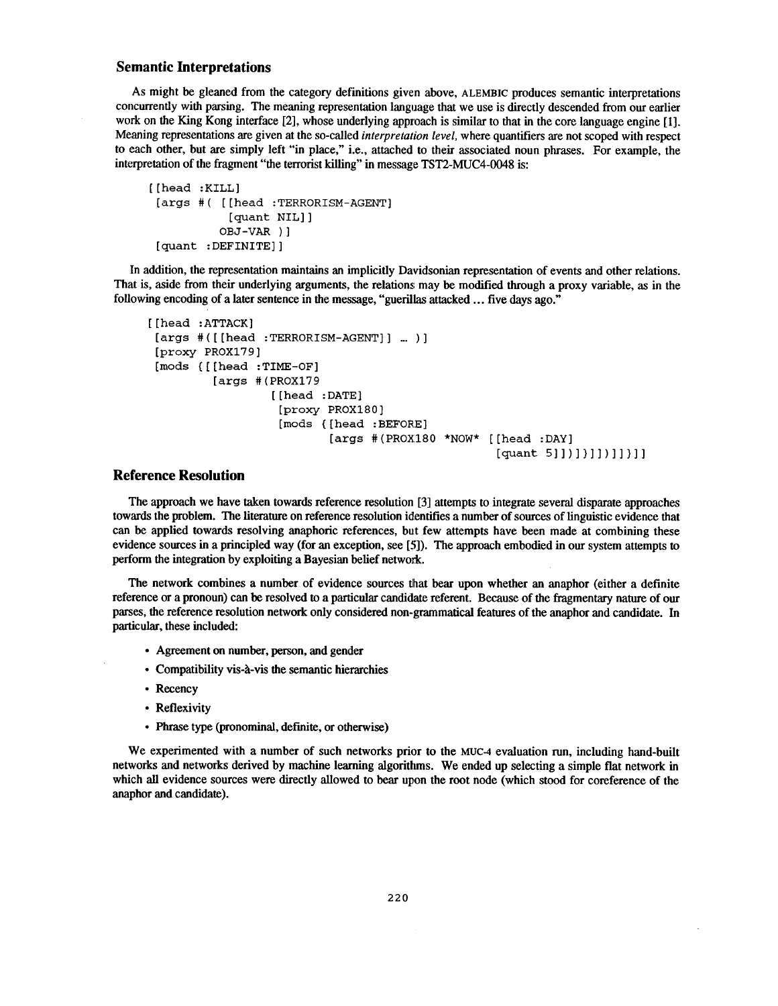## **Semantic Interpretations**

As might be gleaned from the category definitions given above, ALEMBIC produces semantic interpretations concurrently with parsing. The meaning representation language that we use is directly descended from our earlier work on the King Kong interface [2], whose underlying approach is similar to that in the core language engine [1]. Meaning representations are given at the so-called *interpretation level*, where quantifiers are not scoped with respect to each other, but are simply left "in place," i.e., attached to their associated noun phrases . For example, the interpretation of the fragment "the terrorist killing" in message TST2-MUC4-0048 is :

```
[[head :KILL]
 [args #( [[head :TERRORISM-AGENT ]
            [quant NIL] ]
          OBJ-VAR ) ]
 [quant :DEFINITE] ]
```
In addition, the representation maintains an implicitly Davidsonian representation of events and other relations . That is, aside from their underlying arguments, the relations may be modified through a proxy variable, as in the following encoding of a later sentence in the message, "guerillas attacked ... five days ago."

```
[[head :ATTACK ]
 [args
#([[head
:TERRORISM-AGENT]] ... ) ]
 [proxy
PROX179]
 [mods ([[head
:TIME-OF]
         [args
#(PROX179
                  [[head
:DATE]
                   [proxy
PROX180 ]
                   [mods
([head :BEFORE ]
                          [args #(PROX180 *NOW* [[head :DAY]
                                                   [quant 5]])]]]]]]]]]
```
## **Reference Resolution**

The approach we have taken towards reference resolution [3] attempts to integrate several disparate approaches towards the problem. The literature on reference resolution identifies a number of sources of linguistic evidence that can be applied towards resolving anaphoric references, but few attempts have been made at combining these evidence sources in a principled way (for an exception, see [5]). The approach embodied in our system attempts to perform the integration by exploiting a Bayesian belief network .

The network combines a number of evidence sources that bear upon whether an anaphor (either a definite reference or a pronoun) can be resolved to a particular candidate referent. Because of the fragmentary nature of our parses, the reference resolution network only considered non-grammatical features of the anaphor and candidate . In particular, these included:

- Agreement on number, person, and gender
- Compatibility vis-à-vis the semantic hierarchies
- Recency
- Reflexivity
- Phrase type (pronominal, definite, or otherwise )

We experimented with a number of such networks prior to the MUC-4 evaluation run, including hand-built networks and networks derived by machine learning algorithms. We ended up selecting a simple flat network in which all evidence sources were directly allowed to bear upon the root node (which stood for coreference of the anaphor and candidate).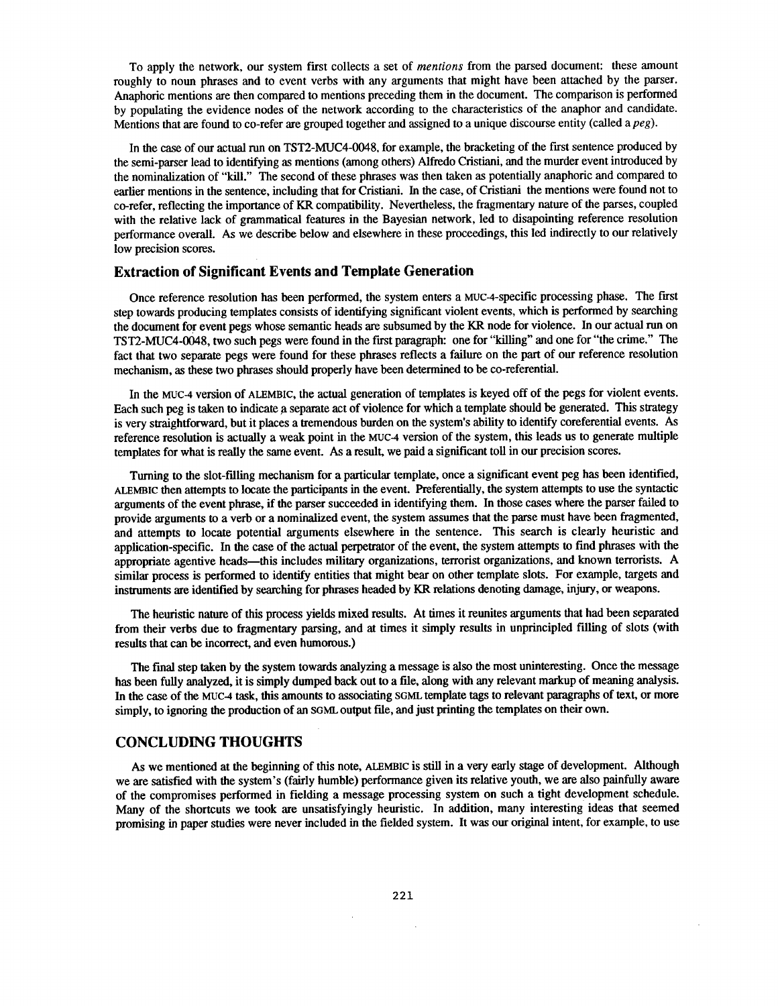To apply the network, our system first collects a set of *mentions* from the parsed document: these amount roughly to noun phrases and to event verbs with any arguments that might have been attached by the parser. Anaphoric mentions are then compared to mentions preceding them in the document. The comparison is performed by populating the evidence nodes of the network according to the characteristics of the anaphor and candidate. Mentions that are found to co-refer are grouped together and assigned to a unique discourse entity (called *a peg).*

In the case of our actual run on TST2-MUC4-0048, for example, the bracketing of the first sentence produced by the semi-parser lead to identifying as mentions (among others) Alfredo Cristiani, and the murder event introduced by the nominalization of "kill." The second of these phrases was then taken as potentially anaphoric and compared to earlier mentions in the sentence, including that for Cristiani. In the case, of Cristiani the mentions were found not to co-refer, reflecting the importance of KR compatibility. Nevertheless, the fragmentary nature of the parses, coupled with the relative lack of grammatical features in the Bayesian network, led to disapointing reference resolution performance overall. As we describe below and elsewhere in these proceedings, this led indirectly to our relatively low precision scores.

## **Extraction of Significant Events and Template Generation**

Once reference resolution has been performed, the system enters a MUC-4-specific processing phase. The first step towards producing templates consists of identifying significant violent events, which is performed by searching the document for event pegs whose semantic heads are subsumed by the KR node for violence. In our actual run on TST2-MUC4-0048, two such pegs were found in the first paragraph : one for "killing" and one for "the crime." The fact that two separate pegs were found for these phrases reflects a failure on the part of our reference resolution mechanism, as these two phrases should properly have been determined to be co-referential .

In the MUC-4 version of ALEMBIC, the actual generation of templates is **keyed** off of the pegs for violent events . Each such peg is taken to indicate a separate act of violence for which a template should be generated . This strategy is very straightforward, but it places a tremendous burden on the system's ability to identify coreferential events . As reference resolution is actually a weak point in the MUC-4 version of the system, this leads us to generate multiple templates for what is really the same event. As a result, we paid a significant toll in our precision scores.

Turning to the slot-filling mechanism for a particular template, once a significant event peg has been identified, ALEMBIC then attempts to locate the participants in the event. Preferentially, the system attempts to use the syntactic arguments of the event phrase, if the parser succeeded in identifying them . In those cases where the parser failed to provide arguments to a verb or a nominalized event, the system assumes that the parse must have been fragmented, and attempts to locate potential arguments elsewhere in the sentence . This search is clearly heuristic and application-specific. In the case of the actual perpetrator of the event, the system attempts to fmd phrases with the appropriate agentive heads—this includes military organizations, terrorist organizations, and known terrorists. A similar process is performed to identify entities that might bear on other template slots. For example, targets and instruments are identified by searching for phrases headed by KR relations denoting damage, injury, or weapons .

The heuristic nature of this process yields mixed results. At times it reunites arguments that had been separated from their verbs due to fragmentary parsing, and at times it simply results in unprincipled filling of slots (with results that can be incorrect, and even humorous.)

The final step taken by the system towards analyzing a message is also the most uninteresting . Once the message has been fully analyzed, it is simply dumped back out to a file, along with any relevant markup of meaning analysis. In the case of the MUC-4 task, this amounts to associating SGML template tags to relevant paragraphs of text, or more simply, to ignoring the production of an SGML **output** file, and just printing the templates on their own .

# **CONCLUDING THOUGHTS**

As we mentioned at the beginning of this note, ALEMBIC is still in a very early stage of development. Although we are satisfied with the system's (fairly humble) performance given its relative **youth,** we are also painfully aware of the compromises performed in fielding a message processing system on such a tight development schedule . Many of the shortcuts we took are unsatisfyingly heuristic. In addition, many interesting ideas that seemed promising in paper studies were never included in the fielded system. It was our original intent, for example, to use

 $\bar{\mathcal{A}}$